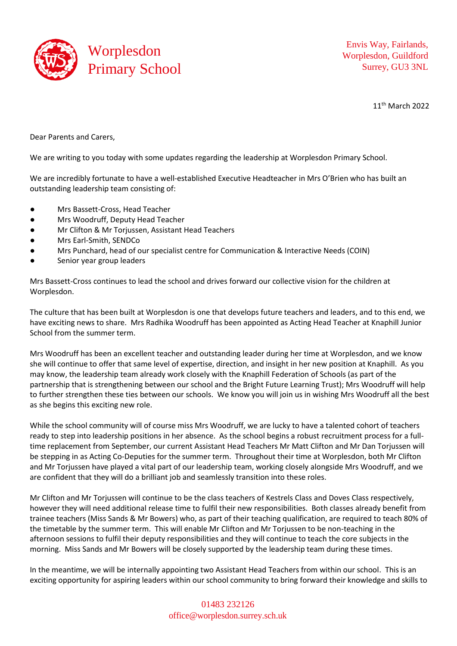

Envis Way, Fairlands, Worplesdon, Guildford Surrey, GU3 3NL

11th March 2022

Dear Parents and Carers,

We are writing to you today with some updates regarding the leadership at Worplesdon Primary School.

We are incredibly fortunate to have a well-established Executive Headteacher in Mrs O'Brien who has built an outstanding leadership team consisting of:

- Mrs Bassett-Cross, Head Teacher
- Mrs Woodruff, Deputy Head Teacher
- Mr Clifton & Mr Torjussen, Assistant Head Teachers
- Mrs Earl-Smith, SENDCo
- Mrs Punchard, head of our specialist centre for Communication & Interactive Needs (COIN)
- Senior year group leaders

Mrs Bassett-Cross continues to lead the school and drives forward our collective vision for the children at Worplesdon.

The culture that has been built at Worplesdon is one that develops future teachers and leaders, and to this end, we have exciting news to share. Mrs Radhika Woodruff has been appointed as Acting Head Teacher at Knaphill Junior School from the summer term.

Mrs Woodruff has been an excellent teacher and outstanding leader during her time at Worplesdon, and we know she will continue to offer that same level of expertise, direction, and insight in her new position at Knaphill. As you may know, the leadership team already work closely with the Knaphill Federation of Schools (as part of the partnership that is strengthening between our school and the Bright Future Learning Trust); Mrs Woodruff will help to further strengthen these ties between our schools. We know you will join us in wishing Mrs Woodruff all the best as she begins this exciting new role.

While the school community will of course miss Mrs Woodruff, we are lucky to have a talented cohort of teachers ready to step into leadership positions in her absence. As the school begins a robust recruitment process for a fulltime replacement from September, our current Assistant Head Teachers Mr Matt Clifton and Mr Dan Torjussen will be stepping in as Acting Co-Deputies for the summer term. Throughout their time at Worplesdon, both Mr Clifton and Mr Torjussen have played a vital part of our leadership team, working closely alongside Mrs Woodruff, and we are confident that they will do a brilliant job and seamlessly transition into these roles.

Mr Clifton and Mr Torjussen will continue to be the class teachers of Kestrels Class and Doves Class respectively, however they will need additional release time to fulfil their new responsibilities. Both classes already benefit from trainee teachers (Miss Sands & Mr Bowers) who, as part of their teaching qualification, are required to teach 80% of the timetable by the summer term. This will enable Mr Clifton and Mr Torjussen to be non-teaching in the afternoon sessions to fulfil their deputy responsibilities and they will continue to teach the core subjects in the morning. Miss Sands and Mr Bowers will be closely supported by the leadership team during these times.

In the meantime, we will be internally appointing two Assistant Head Teachers from within our school. This is an exciting opportunity for aspiring leaders within our school community to bring forward their knowledge and skills to

## 01483 232126 [office@worplesdon.surrey.sch.uk](mailto:office@worplesdon.surrey.sch.uk)